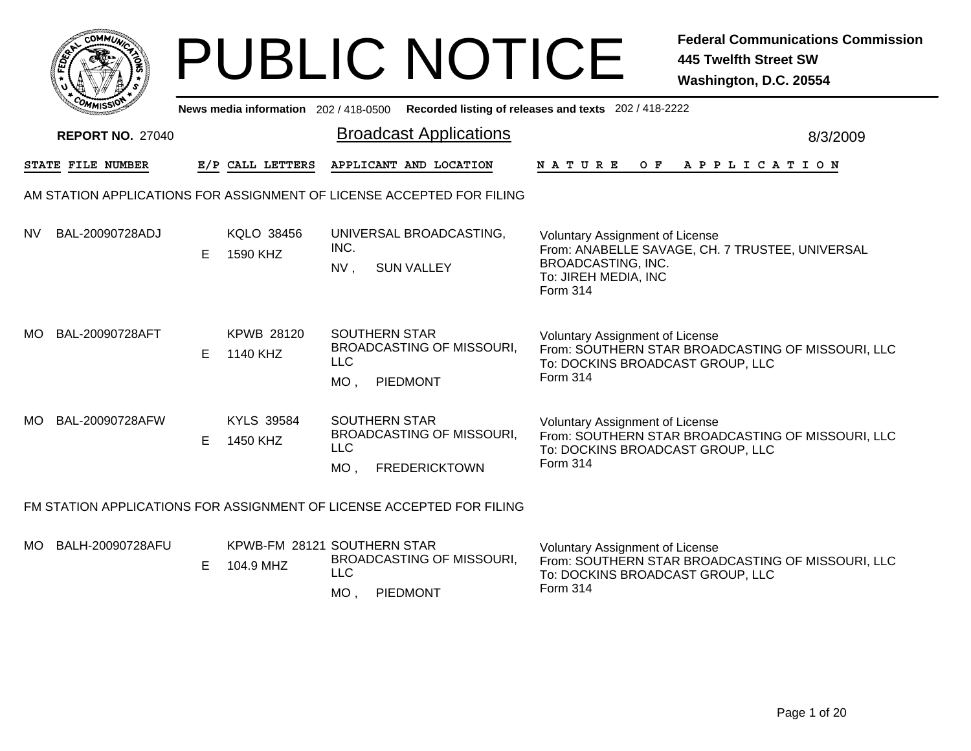| O١<br>MMUNI<br>$\mathbf{C}^{\prime}$ |  |
|--------------------------------------|--|
| ্ব<br><b>FEDET</b>                   |  |
| r.                                   |  |
| c <sub>o/</sub><br>MISS              |  |
|                                      |  |

## PUBLIC NOTICE **Federal Communications Commission 445 Twelfth Street SW Washington, D.C. 20554**

MO , PIEDMONT

|     | <b><i>MMISSI</i></b><br>News media information 202 / 418-0500 Recorded listing of releases and texts 202 / 418-2222 |   |                                          |                                              |                                                                       |                                                                                                                                                            |          |  |  |  |  |
|-----|---------------------------------------------------------------------------------------------------------------------|---|------------------------------------------|----------------------------------------------|-----------------------------------------------------------------------|------------------------------------------------------------------------------------------------------------------------------------------------------------|----------|--|--|--|--|
|     | <b>REPORT NO. 27040</b>                                                                                             |   |                                          |                                              | <b>Broadcast Applications</b>                                         |                                                                                                                                                            | 8/3/2009 |  |  |  |  |
|     | STATE FILE NUMBER                                                                                                   |   | E/P CALL LETTERS                         |                                              | APPLICANT AND LOCATION                                                | N A T U R E<br>OF APPLICATION                                                                                                                              |          |  |  |  |  |
|     |                                                                                                                     |   |                                          |                                              | AM STATION APPLICATIONS FOR ASSIGNMENT OF LICENSE ACCEPTED FOR FILING |                                                                                                                                                            |          |  |  |  |  |
| NV. | BAL-20090728ADJ                                                                                                     | Е | KQLO 38456<br>1590 KHZ                   | INC.<br>NV,                                  | UNIVERSAL BROADCASTING,<br><b>SUN VALLEY</b>                          | <b>Voluntary Assignment of License</b><br>From: ANABELLE SAVAGE, CH. 7 TRUSTEE, UNIVERSAL<br>BROADCASTING, INC.<br>To: JIREH MEDIA, INC<br><b>Form 314</b> |          |  |  |  |  |
| MO. | BAL-20090728AFT                                                                                                     | E | <b>KPWB 28120</b><br>1140 KHZ            | <b>SOUTHERN STAR</b><br><b>LLC</b><br>$MO$ , | <b>BROADCASTING OF MISSOURI,</b><br>PIEDMONT                          | <b>Voluntary Assignment of License</b><br>From: SOUTHERN STAR BROADCASTING OF MISSOURI, LLC<br>To: DOCKINS BROADCAST GROUP, LLC<br><b>Form 314</b>         |          |  |  |  |  |
| MO. | BAL-20090728AFW                                                                                                     | Е | <b>KYLS 39584</b><br>1450 KHZ            | <b>SOUTHERN STAR</b><br><b>LLC</b><br>MO.    | <b>BROADCASTING OF MISSOURI,</b><br><b>FREDERICKTOWN</b>              | <b>Voluntary Assignment of License</b><br>From: SOUTHERN STAR BROADCASTING OF MISSOURI, LLC<br>To: DOCKINS BROADCAST GROUP, LLC<br><b>Form 314</b>         |          |  |  |  |  |
|     | FM STATION APPLICATIONS FOR ASSIGNMENT OF LICENSE ACCEPTED FOR FILING                                               |   |                                          |                                              |                                                                       |                                                                                                                                                            |          |  |  |  |  |
| MO. | BALH-20090728AFU                                                                                                    | Е | KPWB-FM 28121 SOUTHERN STAR<br>104.9 MHZ | <b>LLC</b><br>$M\cap$                        | <b>BROADCASTING OF MISSOURI,</b><br>PIEDMONT                          | <b>Voluntary Assignment of License</b><br>From: SOUTHERN STAR BROADCASTING OF MISSOURI, LLC<br>To: DOCKINS BROADCAST GROUP, LLC<br>Form 314                |          |  |  |  |  |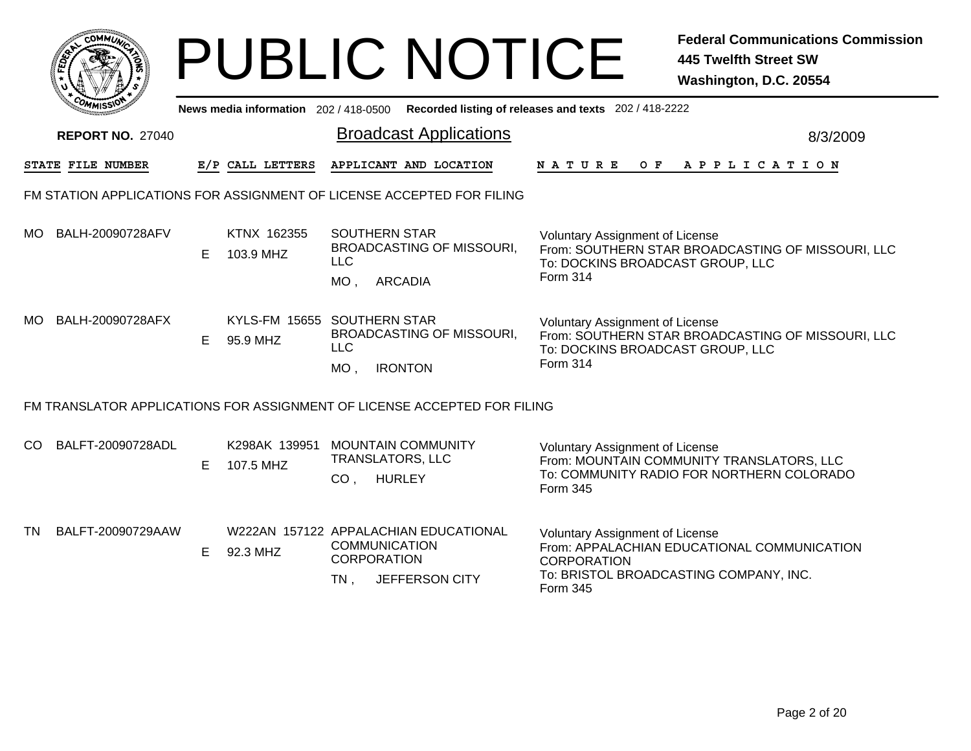|     |                                                                       |    |                                         |                              | <b>PUBLIC NOTICE</b>                                                            |                                                                                 | <b>Federal Communications Commission</b><br><b>445 Twelfth Street SW</b><br>Washington, D.C. 20554 |  |  |  |  |
|-----|-----------------------------------------------------------------------|----|-----------------------------------------|------------------------------|---------------------------------------------------------------------------------|---------------------------------------------------------------------------------|----------------------------------------------------------------------------------------------------|--|--|--|--|
|     |                                                                       |    | News media information 202 / 418-0500   |                              |                                                                                 | Recorded listing of releases and texts 202 / 418-2222                           |                                                                                                    |  |  |  |  |
|     | <b>REPORT NO. 27040</b>                                               |    |                                         |                              | <b>Broadcast Applications</b>                                                   |                                                                                 | 8/3/2009                                                                                           |  |  |  |  |
|     | <b>STATE FILE NUMBER</b>                                              |    | E/P CALL LETTERS                        |                              | APPLICANT AND LOCATION                                                          | NATURE                                                                          | OF APPLICATION                                                                                     |  |  |  |  |
|     | FM STATION APPLICATIONS FOR ASSIGNMENT OF LICENSE ACCEPTED FOR FILING |    |                                         |                              |                                                                                 |                                                                                 |                                                                                                    |  |  |  |  |
|     | MO BALH-20090728AFV                                                   | E  | KTNX 162355<br>103.9 MHZ                | <b>LLC</b><br>$MO$ .         | <b>SOUTHERN STAR</b><br><b>BROADCASTING OF MISSOURI,</b><br><b>ARCADIA</b>      | Voluntary Assignment of License<br>To: DOCKINS BROADCAST GROUP, LLC<br>Form 314 | From: SOUTHERN STAR BROADCASTING OF MISSOURI, LLC                                                  |  |  |  |  |
| MO. | BALH-20090728AFX                                                      | E. | KYLS-FM 15655 SOUTHERN STAR<br>95.9 MHZ | <b>LLC</b><br>$MO$ ,         | <b>BROADCASTING OF MISSOURI,</b><br><b>IRONTON</b>                              | Voluntary Assignment of License<br>To: DOCKINS BROADCAST GROUP, LLC<br>Form 314 | From: SOUTHERN STAR BROADCASTING OF MISSOURI, LLC                                                  |  |  |  |  |
|     |                                                                       |    |                                         |                              | FM TRANSLATOR APPLICATIONS FOR ASSIGNMENT OF LICENSE ACCEPTED FOR FILING        |                                                                                 |                                                                                                    |  |  |  |  |
| CO. | BALFT-20090728ADL                                                     | E. | K298AK 139951<br>107.5 MHZ              | CO <sub>1</sub>              | <b>MOUNTAIN COMMUNITY</b><br><b>TRANSLATORS, LLC</b><br><b>HURLEY</b>           | Voluntary Assignment of License<br>Form 345                                     | From: MOUNTAIN COMMUNITY TRANSLATORS, LLC<br>To: COMMUNITY RADIO FOR NORTHERN COLORADO             |  |  |  |  |
| TN  | BALFT-20090729AAW                                                     | E. | 92.3 MHZ                                | <b>CORPORATION</b><br>$TN$ , | W222AN 157122 APPALACHIAN EDUCATIONAL<br><b>COMMUNICATION</b><br>JEFFERSON CITY | Voluntary Assignment of License<br><b>CORPORATION</b><br>Form 345               | From: APPALACHIAN EDUCATIONAL COMMUNICATION<br>To: BRISTOL BROADCASTING COMPANY, INC.              |  |  |  |  |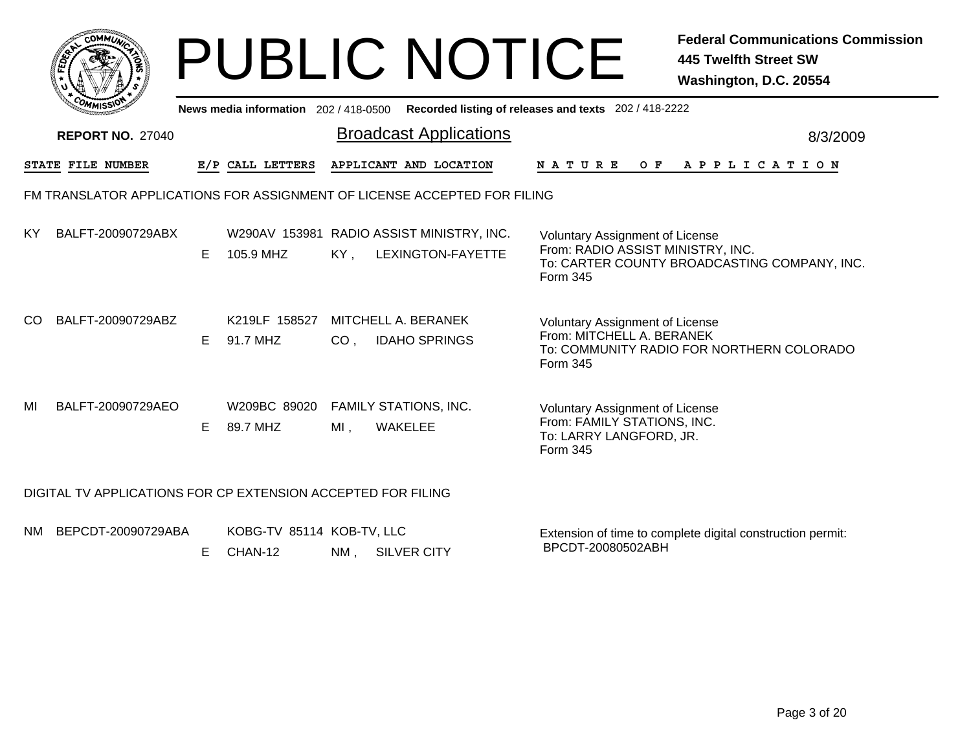|                                                                                             |                                                              |    |                                      |                 | <b>PUBLIC NOTICE</b>                                                     |                                                                                                              | <b>Federal Communications Commission</b><br><b>445 Twelfth Street SW</b><br>Washington, D.C. 20554 |  |  |  |  |  |
|---------------------------------------------------------------------------------------------|--------------------------------------------------------------|----|--------------------------------------|-----------------|--------------------------------------------------------------------------|--------------------------------------------------------------------------------------------------------------|----------------------------------------------------------------------------------------------------|--|--|--|--|--|
| News media information 202 / 418-0500 Recorded listing of releases and texts 202 / 418-2222 |                                                              |    |                                      |                 |                                                                          |                                                                                                              |                                                                                                    |  |  |  |  |  |
|                                                                                             | <b>REPORT NO. 27040</b>                                      |    |                                      |                 | <b>Broadcast Applications</b>                                            |                                                                                                              | 8/3/2009                                                                                           |  |  |  |  |  |
|                                                                                             | STATE FILE NUMBER                                            |    | E/P CALL LETTERS                     |                 | APPLICANT AND LOCATION                                                   | N A T U R E                                                                                                  | OF APPLICATION                                                                                     |  |  |  |  |  |
|                                                                                             |                                                              |    |                                      |                 | FM TRANSLATOR APPLICATIONS FOR ASSIGNMENT OF LICENSE ACCEPTED FOR FILING |                                                                                                              |                                                                                                    |  |  |  |  |  |
| ΚY                                                                                          | BALFT-20090729ABX                                            | E. | 105.9 MHZ                            | $KY$ .          | W290AV 153981 RADIO ASSIST MINISTRY, INC.<br>LEXINGTON-FAYETTE           | <b>Voluntary Assignment of License</b><br>From: RADIO ASSIST MINISTRY, INC.<br>Form 345                      | To: CARTER COUNTY BROADCASTING COMPANY, INC.                                                       |  |  |  |  |  |
| CO.                                                                                         | BALFT-20090729ABZ                                            | E. | K219LF 158527<br>91.7 MHZ            | CO <sub>1</sub> | MITCHELL A. BERANEK<br><b>IDAHO SPRINGS</b>                              | <b>Voluntary Assignment of License</b><br>From: MITCHELL A. BERANEK<br>Form 345                              | To: COMMUNITY RADIO FOR NORTHERN COLORADO                                                          |  |  |  |  |  |
| MI                                                                                          | BALFT-20090729AEO                                            | E. | W209BC 89020<br>89.7 MHZ             | $MI$ ,          | <b>FAMILY STATIONS, INC.</b><br><b>WAKELEE</b>                           | <b>Voluntary Assignment of License</b><br>From: FAMILY STATIONS, INC.<br>To: LARRY LANGFORD, JR.<br>Form 345 |                                                                                                    |  |  |  |  |  |
|                                                                                             | DIGITAL TV APPLICATIONS FOR CP EXTENSION ACCEPTED FOR FILING |    |                                      |                 |                                                                          |                                                                                                              |                                                                                                    |  |  |  |  |  |
|                                                                                             | NM BEPCDT-20090729ABA                                        | E. | KOBG-TV 85114 KOB-TV, LLC<br>CHAN-12 | NM .            | <b>SILVER CITY</b>                                                       | BPCDT-20080502ABH                                                                                            | Extension of time to complete digital construction permit:                                         |  |  |  |  |  |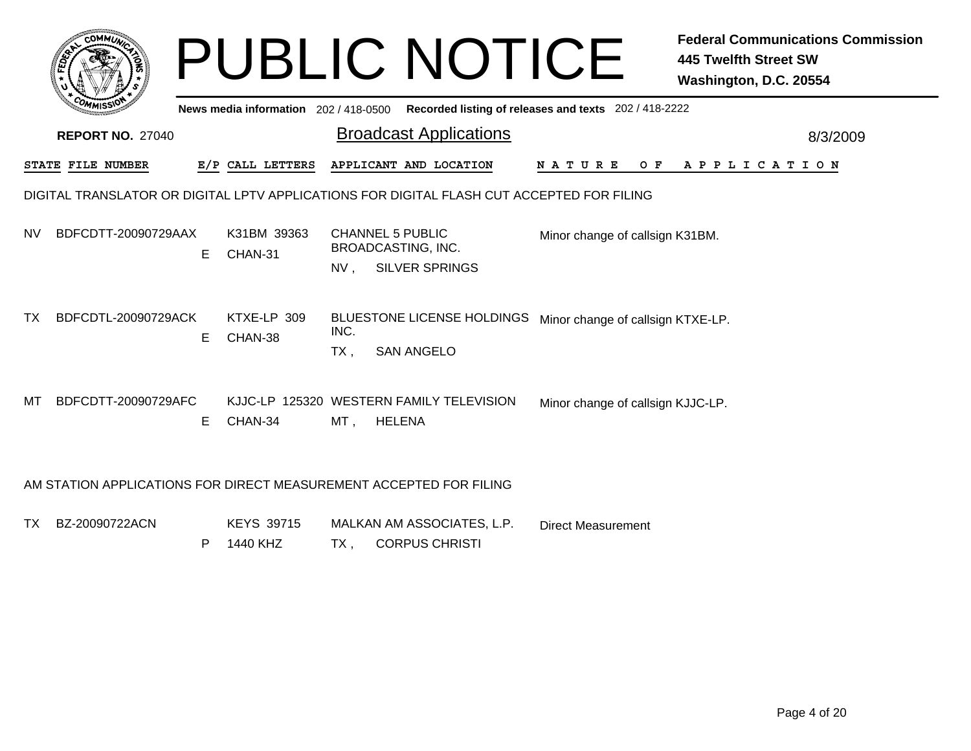|           |                                                                    |    |                                     |             | <b>PUBLIC NOTICE</b>                                                                      |                                   |  | <b>Federal Communications Commission</b><br><b>445 Twelfth Street SW</b><br>Washington, D.C. 20554 |
|-----------|--------------------------------------------------------------------|----|-------------------------------------|-------------|-------------------------------------------------------------------------------------------|-----------------------------------|--|----------------------------------------------------------------------------------------------------|
|           |                                                                    |    | News media information 202/418-0500 |             | Recorded listing of releases and texts 202 / 418-2222                                     |                                   |  |                                                                                                    |
|           | <b>REPORT NO. 27040</b>                                            |    |                                     |             | <b>Broadcast Applications</b>                                                             |                                   |  | 8/3/2009                                                                                           |
|           | STATE FILE NUMBER                                                  |    | E/P CALL LETTERS                    |             | APPLICANT AND LOCATION                                                                    | <b>NATURE</b>                     |  | OF APPLICATION                                                                                     |
|           |                                                                    |    |                                     |             | DIGITAL TRANSLATOR OR DIGITAL LPTV APPLICATIONS FOR DIGITAL FLASH CUT ACCEPTED FOR FILING |                                   |  |                                                                                                    |
| <b>NV</b> | BDFCDTT-20090729AAX                                                | E. | K31BM 39363<br>CHAN-31              | NV.         | <b>CHANNEL 5 PUBLIC</b><br>BROADCASTING, INC.<br><b>SILVER SPRINGS</b>                    | Minor change of callsign K31BM.   |  |                                                                                                    |
| ТX        | BDFCDTL-20090729ACK                                                | E. | KTXE-LP 309<br>CHAN-38              | INC.<br>TX. | <b>BLUESTONE LICENSE HOLDINGS</b><br><b>SAN ANGELO</b>                                    | Minor change of callsign KTXE-LP. |  |                                                                                                    |
| мт        | BDFCDTT-20090729AFC                                                | E. | CHAN-34                             | MT ,        | KJJC-LP 125320 WESTERN FAMILY TELEVISION<br><b>HELENA</b>                                 | Minor change of callsign KJJC-LP. |  |                                                                                                    |
|           | AM STATION APPLICATIONS FOR DIRECT MEASUREMENT ACCEPTED FOR FILING |    |                                     |             |                                                                                           |                                   |  |                                                                                                    |

TXBZ-20090722ACN KEYS 39715 MALKAN AM ASSOCIATES, L.P. TX , CORPUS CHRISTI P 1440 KHZ Direct Measurement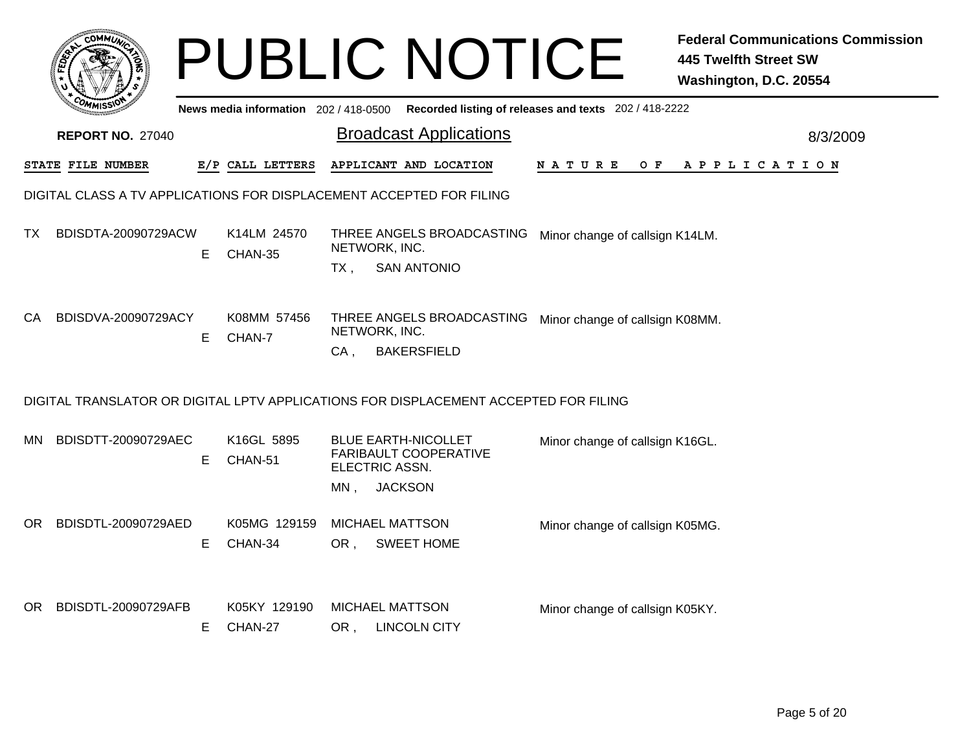|     |                         |    |                                     |        | <b>PUBLIC NOTICE</b>                                                                 |                                                       | <b>Federal Communications Commission</b><br><b>445 Twelfth Street SW</b><br>Washington, D.C. 20554 |          |
|-----|-------------------------|----|-------------------------------------|--------|--------------------------------------------------------------------------------------|-------------------------------------------------------|----------------------------------------------------------------------------------------------------|----------|
|     |                         |    | News media information 202/418-0500 |        |                                                                                      | Recorded listing of releases and texts 202 / 418-2222 |                                                                                                    |          |
|     | <b>REPORT NO. 27040</b> |    |                                     |        | <b>Broadcast Applications</b>                                                        |                                                       |                                                                                                    | 8/3/2009 |
|     | STATE FILE NUMBER       |    | E/P CALL LETTERS                    |        | APPLICANT AND LOCATION                                                               | N A T U R E<br>O F                                    | A P P L I C A T I O N                                                                              |          |
|     |                         |    |                                     |        | DIGITAL CLASS A TV APPLICATIONS FOR DISPLACEMENT ACCEPTED FOR FILING                 |                                                       |                                                                                                    |          |
| TX. | BDISDTA-20090729ACW     | E  | K14LM 24570<br>CHAN-35              |        | THREE ANGELS BROADCASTING<br>NETWORK, INC.                                           | Minor change of callsign K14LM.                       |                                                                                                    |          |
|     |                         |    |                                     | $TX$ , | <b>SAN ANTONIO</b>                                                                   |                                                       |                                                                                                    |          |
| CA. | BDISDVA-20090729ACY     | E  | K08MM 57456<br>CHAN-7               | CA,    | THREE ANGELS BROADCASTING<br>NETWORK, INC.<br><b>BAKERSFIELD</b>                     | Minor change of callsign K08MM.                       |                                                                                                    |          |
|     |                         |    |                                     |        | DIGITAL TRANSLATOR OR DIGITAL LPTV APPLICATIONS FOR DISPLACEMENT ACCEPTED FOR FILING |                                                       |                                                                                                    |          |
| MN  | BDISDTT-20090729AEC     | E  | K16GL 5895<br>CHAN-51               |        | <b>BLUE EARTH-NICOLLET</b><br>FARIBAULT COOPERATIVE<br>ELECTRIC ASSN.                | Minor change of callsign K16GL.                       |                                                                                                    |          |
|     |                         |    |                                     | $MN$ , | <b>JACKSON</b>                                                                       |                                                       |                                                                                                    |          |
| OR. | BDISDTL-20090729AED     |    | K05MG 129159                        |        | <b>MICHAEL MATTSON</b>                                                               | Minor change of callsign K05MG.                       |                                                                                                    |          |
|     |                         | Е  | CHAN-34                             | OR,    | <b>SWEET HOME</b>                                                                    |                                                       |                                                                                                    |          |
| OR. | BDISDTL-20090729AFB     | E. | K05KY 129190<br>CHAN-27             | OR,    | <b>MICHAEL MATTSON</b><br><b>LINCOLN CITY</b>                                        | Minor change of callsign K05KY.                       |                                                                                                    |          |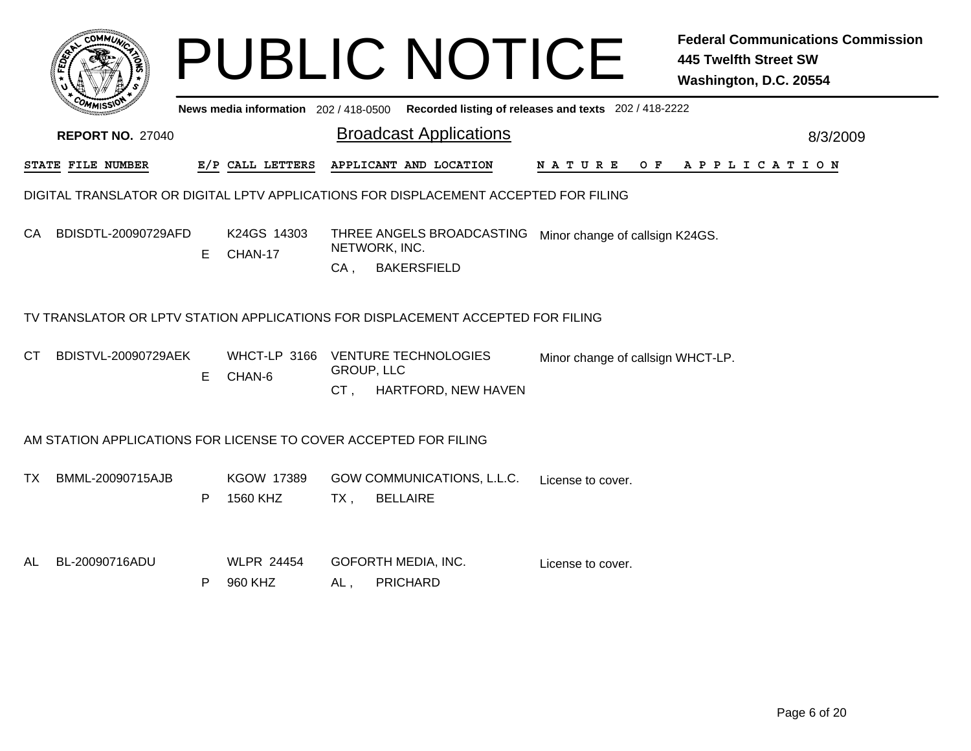| <b>COMMI</b>                                                                         |    |                               |        | <b>PUBLIC NOTICE</b>                                                                        |                                   | <b>Federal Communications Commission</b><br><b>445 Twelfth Street SW</b><br>Washington, D.C. 20554 |  |  |  |  |  |
|--------------------------------------------------------------------------------------|----|-------------------------------|--------|---------------------------------------------------------------------------------------------|-----------------------------------|----------------------------------------------------------------------------------------------------|--|--|--|--|--|
|                                                                                      |    |                               |        | News media information 202 / 418-0500 Recorded listing of releases and texts 202 / 418-2222 |                                   |                                                                                                    |  |  |  |  |  |
| <b>REPORT NO. 27040</b>                                                              |    |                               |        | <b>Broadcast Applications</b>                                                               |                                   | 8/3/2009                                                                                           |  |  |  |  |  |
| STATE FILE NUMBER                                                                    |    | E/P CALL LETTERS              |        | APPLICANT AND LOCATION                                                                      | N A T U R E                       | OF APPLICATION                                                                                     |  |  |  |  |  |
| DIGITAL TRANSLATOR OR DIGITAL LPTV APPLICATIONS FOR DISPLACEMENT ACCEPTED FOR FILING |    |                               |        |                                                                                             |                                   |                                                                                                    |  |  |  |  |  |
| BDISDTL-20090729AFD<br>CA.                                                           | E. | K24GS 14303<br>CHAN-17        | $CA$ , | THREE ANGELS BROADCASTING<br>NETWORK, INC.<br><b>BAKERSFIELD</b>                            | Minor change of callsign K24GS.   |                                                                                                    |  |  |  |  |  |
|                                                                                      |    |                               |        | TV TRANSLATOR OR LPTV STATION APPLICATIONS FOR DISPLACEMENT ACCEPTED FOR FILING             |                                   |                                                                                                    |  |  |  |  |  |
| <b>BDISTVL-20090729AEK</b><br>CT.                                                    | E  | WHCT-LP 3166<br>CHAN-6        | CT,    | <b>VENTURE TECHNOLOGIES</b><br><b>GROUP, LLC</b><br>HARTFORD, NEW HAVEN                     | Minor change of callsign WHCT-LP. |                                                                                                    |  |  |  |  |  |
| AM STATION APPLICATIONS FOR LICENSE TO COVER ACCEPTED FOR FILING                     |    |                               |        |                                                                                             |                                   |                                                                                                    |  |  |  |  |  |
| BMML-20090715AJB<br>TX.                                                              | P  | <b>KGOW 17389</b><br>1560 KHZ | $TX$ , | GOW COMMUNICATIONS, L.L.C.<br><b>BELLAIRE</b>                                               | License to cover.                 |                                                                                                    |  |  |  |  |  |
| BL-20090716ADU<br>AL                                                                 | P  | <b>WLPR 24454</b><br>960 KHZ  | $AL$ , | GOFORTH MEDIA, INC.<br><b>PRICHARD</b>                                                      | License to cover.                 |                                                                                                    |  |  |  |  |  |
|                                                                                      |    |                               |        |                                                                                             |                                   |                                                                                                    |  |  |  |  |  |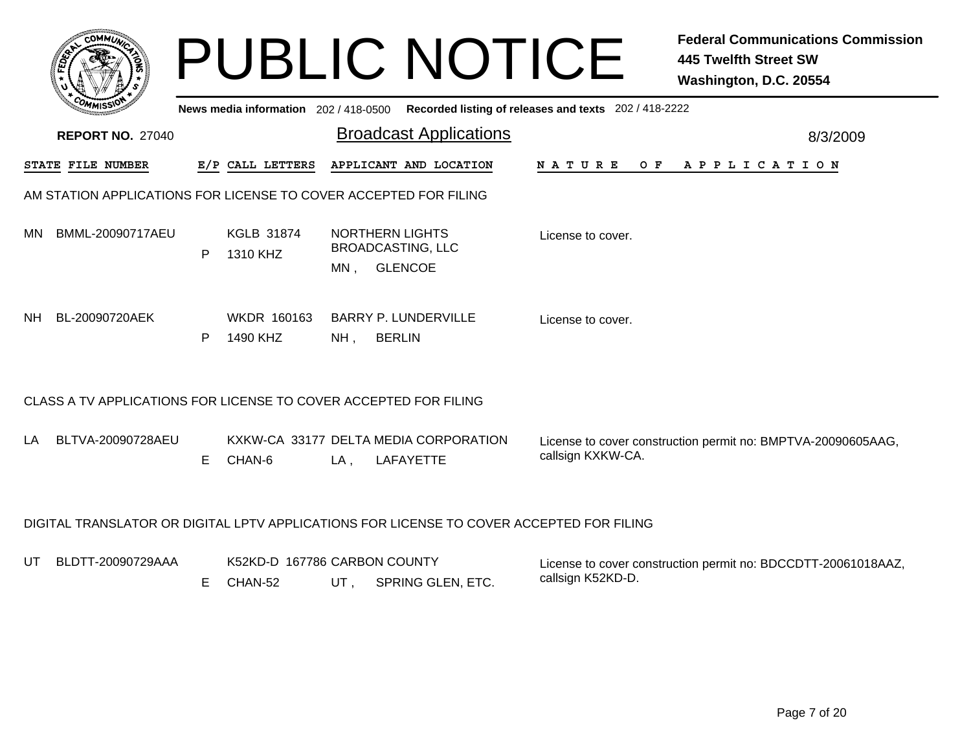|           | <b>COMMI</b>                                                                             |    |                                         |        | <b>PUBLIC NOTICE</b>                                                 |                                                       | <b>Federal Communications Commission</b><br><b>445 Twelfth Street SW</b><br>Washington, D.C. 20554 |  |  |  |  |  |
|-----------|------------------------------------------------------------------------------------------|----|-----------------------------------------|--------|----------------------------------------------------------------------|-------------------------------------------------------|----------------------------------------------------------------------------------------------------|--|--|--|--|--|
|           |                                                                                          |    | News media information 202 / 418-0500   |        |                                                                      | Recorded listing of releases and texts 202 / 418-2222 |                                                                                                    |  |  |  |  |  |
|           | <b>REPORT NO. 27040</b>                                                                  |    |                                         |        | <b>Broadcast Applications</b>                                        |                                                       | 8/3/2009                                                                                           |  |  |  |  |  |
|           | STATE FILE NUMBER                                                                        |    | E/P CALL LETTERS                        |        | APPLICANT AND LOCATION                                               | <b>NATURE</b><br>O F                                  | APPLICATION                                                                                        |  |  |  |  |  |
|           | AM STATION APPLICATIONS FOR LICENSE TO COVER ACCEPTED FOR FILING                         |    |                                         |        |                                                                      |                                                       |                                                                                                    |  |  |  |  |  |
| <b>MN</b> | BMML-20090717AEU                                                                         | P  | <b>KGLB 31874</b><br>1310 KHZ           | MN.    | <b>NORTHERN LIGHTS</b><br><b>BROADCASTING, LLC</b><br><b>GLENCOE</b> | License to cover.                                     |                                                                                                    |  |  |  |  |  |
| NH.       | BL-20090720AEK                                                                           | P  | WKDR 160163<br>1490 KHZ                 | $NH$ , | BARRY P. LUNDERVILLE<br><b>BERLIN</b>                                | License to cover.                                     |                                                                                                    |  |  |  |  |  |
|           | CLASS A TV APPLICATIONS FOR LICENSE TO COVER ACCEPTED FOR FILING                         |    |                                         |        |                                                                      |                                                       |                                                                                                    |  |  |  |  |  |
| LA.       | BLTVA-20090728AEU                                                                        | E. | CHAN-6                                  | LA,    | KXKW-CA 33177 DELTA MEDIA CORPORATION<br><b>LAFAYETTE</b>            | callsign KXKW-CA.                                     | License to cover construction permit no: BMPTVA-20090605AAG,                                       |  |  |  |  |  |
|           | DIGITAL TRANSLATOR OR DIGITAL LPTV APPLICATIONS FOR LICENSE TO COVER ACCEPTED FOR FILING |    |                                         |        |                                                                      |                                                       |                                                                                                    |  |  |  |  |  |
| UT        | BLDTT-20090729AAA                                                                        | E. | K52KD-D 167786 CARBON COUNTY<br>CHAN-52 | UT,    | SPRING GLEN, ETC.                                                    | callsign K52KD-D.                                     | License to cover construction permit no: BDCCDTT-20061018AAZ,                                      |  |  |  |  |  |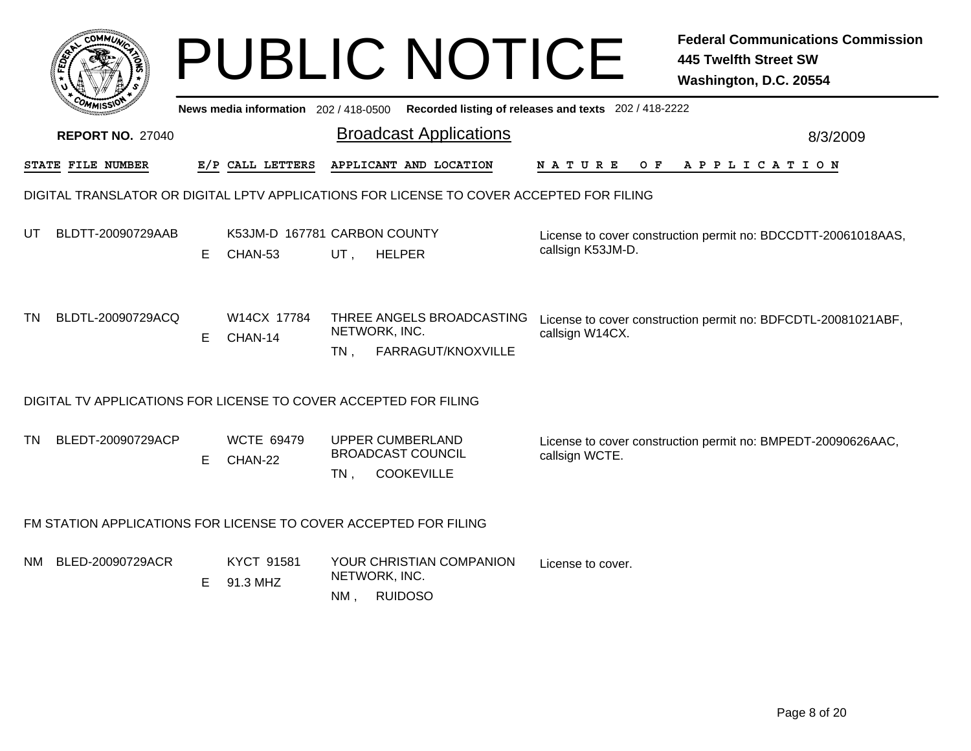|                                                                  |                                                                                          | <b>PUBLIC NOTICE</b> |                                         |                       |                                                                          |                    | <b>Federal Communications Commission</b><br><b>445 Twelfth Street SW</b><br>Washington, D.C. 20554 |  |  |  |  |  |
|------------------------------------------------------------------|------------------------------------------------------------------------------------------|----------------------|-----------------------------------------|-----------------------|--------------------------------------------------------------------------|--------------------|----------------------------------------------------------------------------------------------------|--|--|--|--|--|
|                                                                  |                                                                                          |                      | News media information $202/418-0500$   |                       | Recorded listing of releases and texts 202 / 418-2222                    |                    |                                                                                                    |  |  |  |  |  |
|                                                                  | <b>REPORT NO. 27040</b>                                                                  |                      |                                         |                       | <b>Broadcast Applications</b>                                            |                    | 8/3/2009                                                                                           |  |  |  |  |  |
|                                                                  | STATE FILE NUMBER                                                                        |                      | E/P CALL LETTERS                        |                       | APPLICANT AND LOCATION                                                   | O F<br>N A T U R E | A P P L I C A T I O N                                                                              |  |  |  |  |  |
|                                                                  | DIGITAL TRANSLATOR OR DIGITAL LPTV APPLICATIONS FOR LICENSE TO COVER ACCEPTED FOR FILING |                      |                                         |                       |                                                                          |                    |                                                                                                    |  |  |  |  |  |
| UT                                                               | BLDTT-20090729AAB                                                                        | E.                   | K53JM-D 167781 CARBON COUNTY<br>CHAN-53 | UT,                   | <b>HELPER</b>                                                            | callsign K53JM-D.  | License to cover construction permit no: BDCCDTT-20061018AAS,                                      |  |  |  |  |  |
| TN                                                               | BLDTL-20090729ACQ                                                                        | Е                    | W14CX 17784<br>CHAN-14                  | NETWORK, INC.<br>TN . | THREE ANGELS BROADCASTING<br>FARRAGUT/KNOXVILLE                          | callsign W14CX.    | License to cover construction permit no: BDFCDTL-20081021ABF,                                      |  |  |  |  |  |
|                                                                  | DIGITAL TV APPLICATIONS FOR LICENSE TO COVER ACCEPTED FOR FILING                         |                      |                                         |                       |                                                                          |                    |                                                                                                    |  |  |  |  |  |
| TN.                                                              | BLEDT-20090729ACP                                                                        | E                    | <b>WCTE 69479</b><br>CHAN-22            | $TN$ ,                | <b>UPPER CUMBERLAND</b><br><b>BROADCAST COUNCIL</b><br><b>COOKEVILLE</b> | callsign WCTE.     | License to cover construction permit no: BMPEDT-20090626AAC,                                       |  |  |  |  |  |
| FM STATION APPLICATIONS FOR LICENSE TO COVER ACCEPTED FOR FILING |                                                                                          |                      |                                         |                       |                                                                          |                    |                                                                                                    |  |  |  |  |  |
| NM.                                                              | BLED-20090729ACR                                                                         | Е                    | KYCT 91581<br>91.3 MHZ                  | NETWORK, INC.<br>NM.  | YOUR CHRISTIAN COMPANION<br><b>RUIDOSO</b>                               | License to cover.  |                                                                                                    |  |  |  |  |  |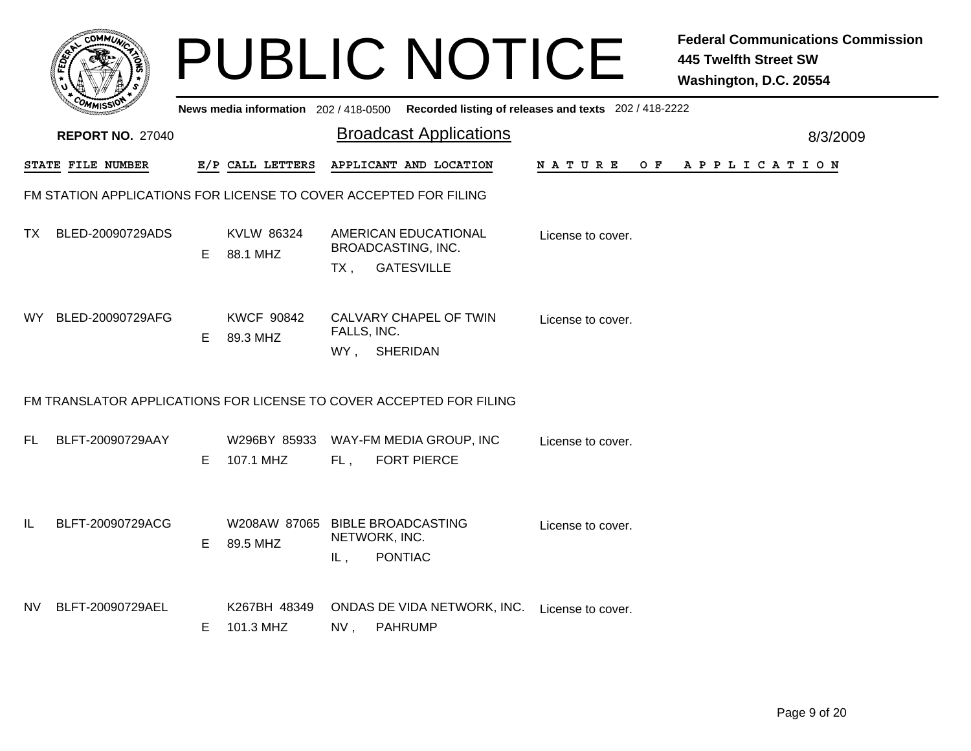|     |                                                                     |    |                                             |                                     | <b>PUBLIC NOTICE</b>                                            |                                                                                         | <b>Federal Communications Commission</b><br><b>445 Twelfth Street SW</b><br>Washington, D.C. 20554 |  |  |  |  |  |
|-----|---------------------------------------------------------------------|----|---------------------------------------------|-------------------------------------|-----------------------------------------------------------------|-----------------------------------------------------------------------------------------|----------------------------------------------------------------------------------------------------|--|--|--|--|--|
|     |                                                                     |    |                                             |                                     |                                                                 | News media information 202/418-0500 Recorded listing of releases and texts 202/418-2222 |                                                                                                    |  |  |  |  |  |
|     | <b>REPORT NO. 27040</b>                                             |    |                                             |                                     | <b>Broadcast Applications</b>                                   |                                                                                         | 8/3/2009                                                                                           |  |  |  |  |  |
|     | <b>STATE FILE NUMBER</b>                                            |    | E/P CALL LETTERS                            |                                     | APPLICANT AND LOCATION                                          | N A T U R E<br>O F                                                                      | A P P L I C A T I O N                                                                              |  |  |  |  |  |
|     | FM STATION APPLICATIONS FOR LICENSE TO COVER ACCEPTED FOR FILING    |    |                                             |                                     |                                                                 |                                                                                         |                                                                                                    |  |  |  |  |  |
| TX. | BLED-20090729ADS                                                    | E. | KVLW 86324<br>88.1 MHZ                      | <b>BROADCASTING, INC.</b><br>$TX$ , | AMERICAN EDUCATIONAL<br><b>GATESVILLE</b>                       | License to cover.                                                                       |                                                                                                    |  |  |  |  |  |
| WY. | BLED-20090729AFG                                                    | E. | <b>KWCF 90842</b><br>89.3 MHZ               | FALLS, INC.<br>WY, SHERIDAN         | CALVARY CHAPEL OF TWIN                                          | License to cover.                                                                       |                                                                                                    |  |  |  |  |  |
|     | FM TRANSLATOR APPLICATIONS FOR LICENSE TO COVER ACCEPTED FOR FILING |    |                                             |                                     |                                                                 |                                                                                         |                                                                                                    |  |  |  |  |  |
| FL. | BLFT-20090729AAY                                                    | E  | W296BY 85933<br>107.1 MHZ                   | FL.                                 | WAY-FM MEDIA GROUP, INC<br><b>FORT PIERCE</b>                   | License to cover.                                                                       |                                                                                                    |  |  |  |  |  |
| IL  | BLFT-20090729ACG                                                    | E  | W208AW 87065 BIBLE BROADCASTING<br>89.5 MHZ | NETWORK, INC.<br>IL,                | <b>PONTIAC</b>                                                  | License to cover.                                                                       |                                                                                                    |  |  |  |  |  |
| NV. | BLFT-20090729AEL                                                    | Е  | K267BH 48349<br>101.3 MHZ                   | NV,                                 | ONDAS DE VIDA NETWORK, INC. License to cover.<br><b>PAHRUMP</b> |                                                                                         |                                                                                                    |  |  |  |  |  |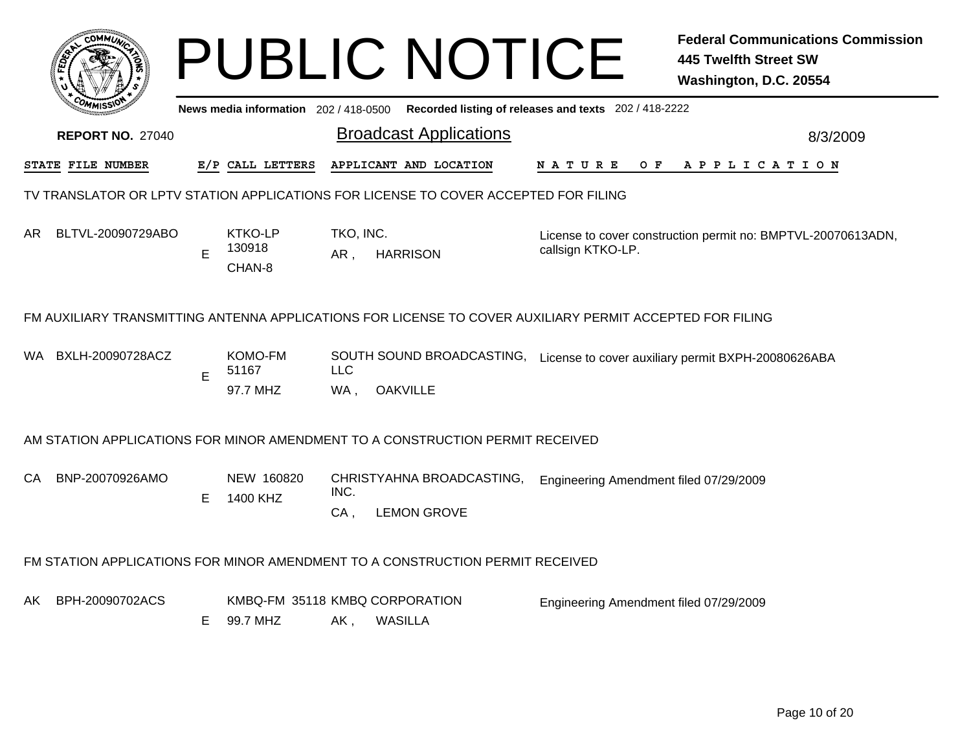|     |                                                                                                          |    |                                            |                   | <b>PUBLIC NOTICE</b>                                                          |                                                       | <b>Federal Communications Commission</b><br><b>445 Twelfth Street SW</b><br>Washington, D.C. 20554 |  |  |  |  |  |
|-----|----------------------------------------------------------------------------------------------------------|----|--------------------------------------------|-------------------|-------------------------------------------------------------------------------|-------------------------------------------------------|----------------------------------------------------------------------------------------------------|--|--|--|--|--|
|     |                                                                                                          |    | News media information 202 / 418-0500      |                   |                                                                               | Recorded listing of releases and texts 202 / 418-2222 |                                                                                                    |  |  |  |  |  |
|     | <b>REPORT NO. 27040</b>                                                                                  |    |                                            |                   | <b>Broadcast Applications</b>                                                 |                                                       | 8/3/2009                                                                                           |  |  |  |  |  |
|     | STATE FILE NUMBER                                                                                        |    | E/P CALL LETTERS                           |                   | APPLICANT AND LOCATION                                                        | N A T U R E<br>O F                                    | A P P L I C A T I O N                                                                              |  |  |  |  |  |
|     | TV TRANSLATOR OR LPTV STATION APPLICATIONS FOR LICENSE TO COVER ACCEPTED FOR FILING                      |    |                                            |                   |                                                                               |                                                       |                                                                                                    |  |  |  |  |  |
| AR. | BLTVL-20090729ABO                                                                                        | E  | KTKO-LP<br>130918<br>CHAN-8                | TKO, INC.<br>AR.  | <b>HARRISON</b>                                                               | callsign KTKO-LP.                                     | License to cover construction permit no: BMPTVL-20070613ADN,                                       |  |  |  |  |  |
|     | FM AUXILIARY TRANSMITTING ANTENNA APPLICATIONS FOR LICENSE TO COVER AUXILIARY PERMIT ACCEPTED FOR FILING |    |                                            |                   |                                                                               |                                                       |                                                                                                    |  |  |  |  |  |
|     | WA BXLH-20090728ACZ                                                                                      | E  | KOMO-FM<br>51167<br>97.7 MHZ               | <b>LLC</b><br>WA. | <b>OAKVILLE</b>                                                               |                                                       | SOUTH SOUND BROADCASTING, License to cover auxiliary permit BXPH-20080626ABA                       |  |  |  |  |  |
|     |                                                                                                          |    |                                            |                   | AM STATION APPLICATIONS FOR MINOR AMENDMENT TO A CONSTRUCTION PERMIT RECEIVED |                                                       |                                                                                                    |  |  |  |  |  |
| CA  | BNP-20070926AMO                                                                                          | E. | NEW 160820<br>1400 KHZ                     | INC.<br>$CA$ ,    | CHRISTYAHNA BROADCASTING,<br><b>LEMON GROVE</b>                               | Engineering Amendment filed 07/29/2009                |                                                                                                    |  |  |  |  |  |
|     | FM STATION APPLICATIONS FOR MINOR AMENDMENT TO A CONSTRUCTION PERMIT RECEIVED                            |    |                                            |                   |                                                                               |                                                       |                                                                                                    |  |  |  |  |  |
| AK. | BPH-20090702ACS                                                                                          | E. | KMBQ-FM 35118 KMBQ CORPORATION<br>99.7 MHZ | AK,               | <b>WASILLA</b>                                                                | Engineering Amendment filed 07/29/2009                |                                                                                                    |  |  |  |  |  |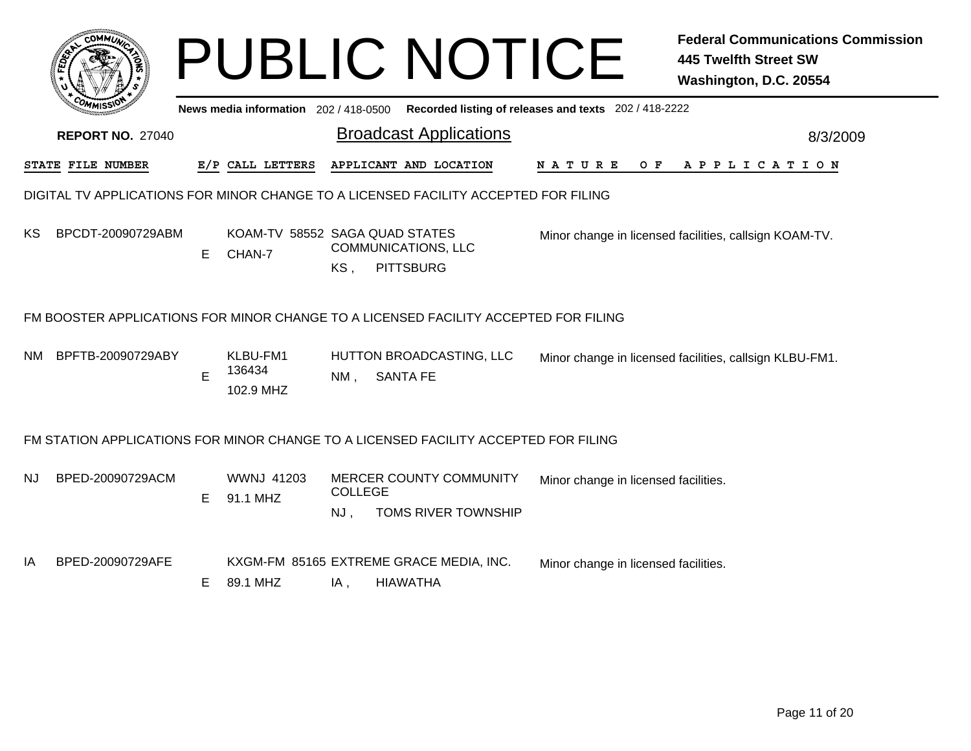|      |                                                                                                          |   |                                          |                       | <b>PUBLIC NOTICE</b>                                       |                                                       | <b>Federal Communications Commission</b><br><b>445 Twelfth Street SW</b><br>Washington, D.C. 20554 |
|------|----------------------------------------------------------------------------------------------------------|---|------------------------------------------|-----------------------|------------------------------------------------------------|-------------------------------------------------------|----------------------------------------------------------------------------------------------------|
|      |                                                                                                          |   | News media information 202 / 418-0500    |                       |                                                            | Recorded listing of releases and texts 202 / 418-2222 |                                                                                                    |
|      | <b>REPORT NO. 27040</b>                                                                                  |   |                                          |                       | <b>Broadcast Applications</b>                              |                                                       | 8/3/2009                                                                                           |
|      | <b>STATE FILE NUMBER</b>                                                                                 |   | E/P CALL LETTERS                         |                       | APPLICANT AND LOCATION                                     | N A T U R E<br>O F                                    | A P P L I C A T I O N                                                                              |
|      | DIGITAL TV APPLICATIONS FOR MINOR CHANGE TO A LICENSED FACILITY ACCEPTED FOR FILING                      |   |                                          |                       |                                                            |                                                       |                                                                                                    |
| ΚS   | BPCDT-20090729ABM                                                                                        | Е | KOAM-TV 58552 SAGA QUAD STATES<br>CHAN-7 | KS,                   | <b>COMMUNICATIONS, LLC</b><br><b>PITTSBURG</b>             |                                                       | Minor change in licensed facilities, callsign KOAM-TV.                                             |
| NM - | FM BOOSTER APPLICATIONS FOR MINOR CHANGE TO A LICENSED FACILITY ACCEPTED FOR FILING<br>BPFTB-20090729ABY | Е | KLBU-FM1<br>136434<br>102.9 MHZ          | $NM$ ,                | HUTTON BROADCASTING, LLC<br><b>SANTA FE</b>                |                                                       | Minor change in licensed facilities, callsign KLBU-FM1.                                            |
|      | FM STATION APPLICATIONS FOR MINOR CHANGE TO A LICENSED FACILITY ACCEPTED FOR FILING                      |   |                                          |                       |                                                            |                                                       |                                                                                                    |
| NJ   | BPED-20090729ACM                                                                                         | Е | <b>WWNJ 41203</b><br>91.1 MHZ            | <b>COLLEGE</b><br>NJ, | MERCER COUNTY COMMUNITY<br>TOMS RIVER TOWNSHIP             | Minor change in licensed facilities.                  |                                                                                                    |
| ΙA   | BPED-20090729AFE                                                                                         | Е | 89.1 MHZ                                 | IA,                   | KXGM-FM 85165 EXTREME GRACE MEDIA, INC.<br><b>HIAWATHA</b> | Minor change in licensed facilities.                  |                                                                                                    |
|      |                                                                                                          |   |                                          |                       |                                                            |                                                       |                                                                                                    |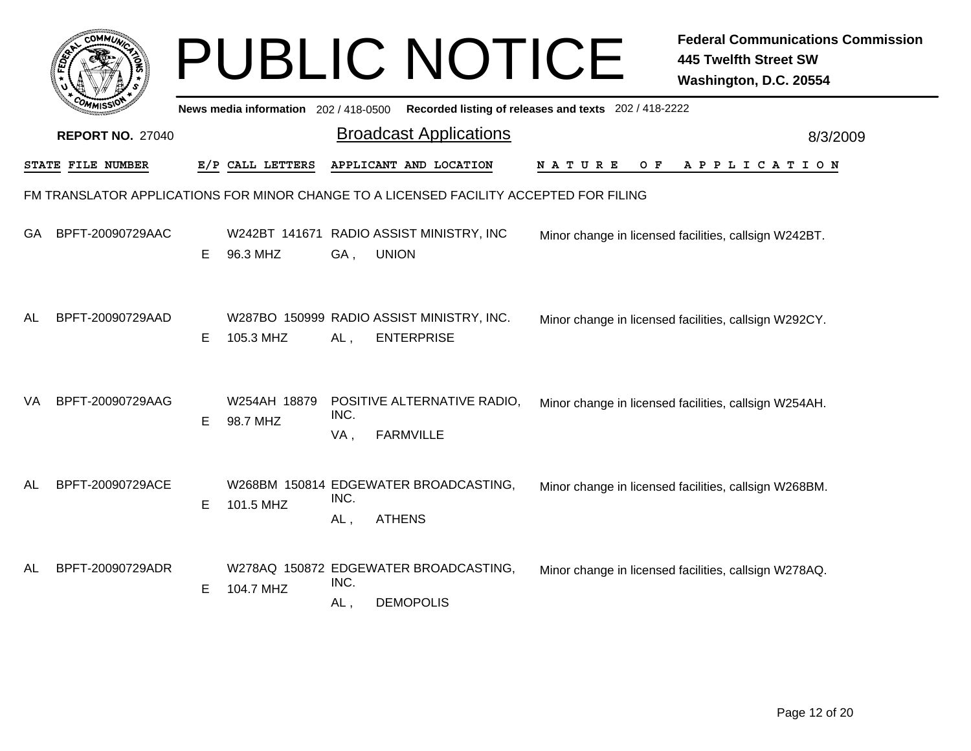|    |                          |    |                                       |             | <b>PUBLIC NOTICE</b>                                                                   |                                                       | <b>Federal Communications Commission</b><br><b>445 Twelfth Street SW</b><br>Washington, D.C. 20554 |
|----|--------------------------|----|---------------------------------------|-------------|----------------------------------------------------------------------------------------|-------------------------------------------------------|----------------------------------------------------------------------------------------------------|
|    |                          |    | News media information 202 / 418-0500 |             |                                                                                        | Recorded listing of releases and texts 202 / 418-2222 |                                                                                                    |
|    | <b>REPORT NO. 27040</b>  |    |                                       |             | <b>Broadcast Applications</b>                                                          |                                                       | 8/3/2009                                                                                           |
|    | <b>STATE FILE NUMBER</b> |    | E/P CALL LETTERS                      |             | APPLICANT AND LOCATION                                                                 | N A T U R E<br>O F                                    | APPLICATION                                                                                        |
|    |                          |    |                                       |             | FM TRANSLATOR APPLICATIONS FOR MINOR CHANGE TO A LICENSED FACILITY ACCEPTED FOR FILING |                                                       |                                                                                                    |
| GA | BPFT-20090729AAC         | E  | 96.3 MHZ                              | GA,         | W242BT 141671 RADIO ASSIST MINISTRY, INC<br><b>UNION</b>                               |                                                       | Minor change in licensed facilities, callsign W242BT.                                              |
| AL | BPFT-20090729AAD         | E. | 105.3 MHZ                             | AL,         | W287BO 150999 RADIO ASSIST MINISTRY, INC.<br><b>ENTERPRISE</b>                         |                                                       | Minor change in licensed facilities, callsign W292CY.                                              |
| VA | BPFT-20090729AAG         | E. | W254AH 18879<br>98.7 MHZ              | INC.<br>VA, | POSITIVE ALTERNATIVE RADIO,<br><b>FARMVILLE</b>                                        |                                                       | Minor change in licensed facilities, callsign W254AH.                                              |
| AL | BPFT-20090729ACE         | Е  | 101.5 MHZ                             | INC.<br>AL, | W268BM 150814 EDGEWATER BROADCASTING,<br><b>ATHENS</b>                                 |                                                       | Minor change in licensed facilities, callsign W268BM.                                              |
| AL | BPFT-20090729ADR         | E  | 104.7 MHZ                             | INC.<br>AL, | W278AQ 150872 EDGEWATER BROADCASTING,<br><b>DEMOPOLIS</b>                              |                                                       | Minor change in licensed facilities, callsign W278AQ.                                              |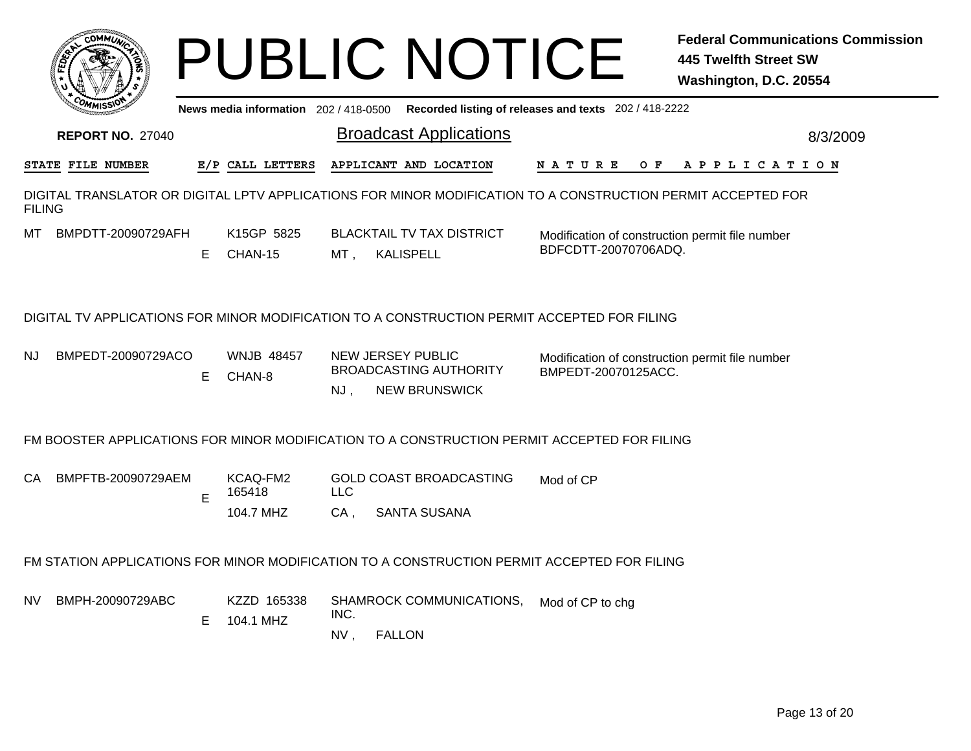| <b>COMMUT</b>                                                                                                                 |    |                                       |                      | <b>PUBLIC NOTICE</b>                                                       |                      |     | <b>445 Twelfth Street SW</b><br>Washington, D.C. 20554 | <b>Federal Communications Commission</b> |
|-------------------------------------------------------------------------------------------------------------------------------|----|---------------------------------------|----------------------|----------------------------------------------------------------------------|----------------------|-----|--------------------------------------------------------|------------------------------------------|
|                                                                                                                               |    | News media information 202 / 418-0500 |                      | Recorded listing of releases and texts 202 / 418-2222                      |                      |     |                                                        |                                          |
| <b>REPORT NO. 27040</b>                                                                                                       |    |                                       |                      | <b>Broadcast Applications</b>                                              |                      |     |                                                        | 8/3/2009                                 |
| STATE FILE NUMBER                                                                                                             |    | E/P CALL LETTERS                      |                      | APPLICANT AND LOCATION                                                     | N A T U R E          | O F | A P P L I C A T I O N                                  |                                          |
| DIGITAL TRANSLATOR OR DIGITAL LPTV APPLICATIONS FOR MINOR MODIFICATION TO A CONSTRUCTION PERMIT ACCEPTED FOR<br><b>FILING</b> |    |                                       |                      |                                                                            |                      |     |                                                        |                                          |
| BMPDTT-20090729AFH<br>MT.                                                                                                     | E. | K15GP 5825<br>CHAN-15                 | MT,                  | <b>BLACKTAIL TV TAX DISTRICT</b><br><b>KALISPELL</b>                       | BDFCDTT-20070706ADQ. |     | Modification of construction permit file number        |                                          |
| DIGITAL TV APPLICATIONS FOR MINOR MODIFICATION TO A CONSTRUCTION PERMIT ACCEPTED FOR FILING                                   |    |                                       |                      |                                                                            |                      |     |                                                        |                                          |
| BMPEDT-20090729ACO<br>NJ.                                                                                                     | E. | <b>WNJB 48457</b><br>CHAN-8           | NJ,                  | NEW JERSEY PUBLIC<br><b>BROADCASTING AUTHORITY</b><br><b>NEW BRUNSWICK</b> | BMPEDT-20070125ACC.  |     | Modification of construction permit file number        |                                          |
| FM BOOSTER APPLICATIONS FOR MINOR MODIFICATION TO A CONSTRUCTION PERMIT ACCEPTED FOR FILING                                   |    |                                       |                      |                                                                            |                      |     |                                                        |                                          |
| BMPFTB-20090729AEM<br>CА                                                                                                      | E  | KCAQ-FM2<br>165418<br>104.7 MHZ       | <b>LLC</b><br>$CA$ , | <b>GOLD COAST BROADCASTING</b><br><b>SANTA SUSANA</b>                      | Mod of CP            |     |                                                        |                                          |
| FM STATION APPLICATIONS FOR MINOR MODIFICATION TO A CONSTRUCTION PERMIT ACCEPTED FOR FILING                                   |    |                                       |                      |                                                                            |                      |     |                                                        |                                          |
| BMPH-20090729ABC<br>NV.                                                                                                       | Е  | KZZD 165338<br>104.1 MHZ              | INC.<br>NV,          | SHAMROCK COMMUNICATIONS,<br><b>FALLON</b>                                  | Mod of CP to chg     |     |                                                        |                                          |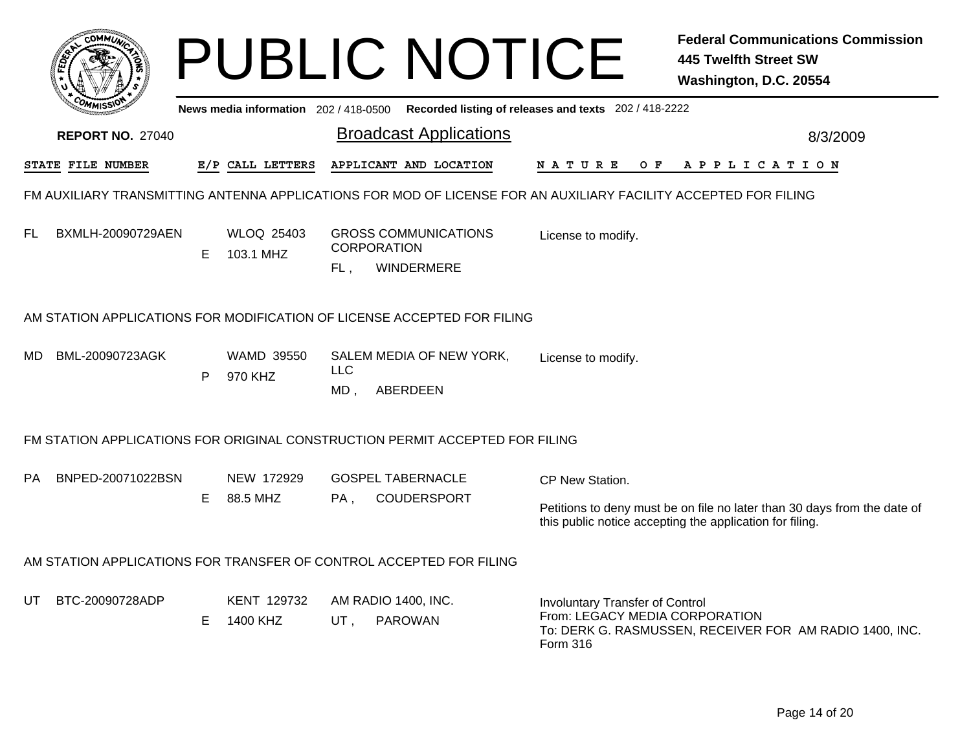|     |                         |    |                                       |                      | <b>PUBLIC NOTICE</b>                                                                                            |                                                                                      | <b>Federal Communications Commission</b><br>445 Twelfth Street SW<br>Washington, D.C. 20554                                          |
|-----|-------------------------|----|---------------------------------------|----------------------|-----------------------------------------------------------------------------------------------------------------|--------------------------------------------------------------------------------------|--------------------------------------------------------------------------------------------------------------------------------------|
|     |                         |    | News media information 202 / 418-0500 |                      |                                                                                                                 | Recorded listing of releases and texts 202 / 418-2222                                |                                                                                                                                      |
|     | <b>REPORT NO. 27040</b> |    |                                       |                      | <b>Broadcast Applications</b>                                                                                   |                                                                                      | 8/3/2009                                                                                                                             |
|     | STATE FILE NUMBER       |    | E/P CALL LETTERS                      |                      | APPLICANT AND LOCATION                                                                                          | N A T U R E<br>O F                                                                   | A P P L I C A T I O N                                                                                                                |
|     |                         |    |                                       |                      | FM AUXILIARY TRANSMITTING ANTENNA APPLICATIONS FOR MOD OF LICENSE FOR AN AUXILIARY FACILITY ACCEPTED FOR FILING |                                                                                      |                                                                                                                                      |
| FL  | BXMLH-20090729AEN       | E. | WLOQ 25403<br>103.1 MHZ               | FL,                  | <b>GROSS COMMUNICATIONS</b><br><b>CORPORATION</b><br>WINDERMERE                                                 | License to modify.                                                                   |                                                                                                                                      |
|     |                         |    |                                       |                      | AM STATION APPLICATIONS FOR MODIFICATION OF LICENSE ACCEPTED FOR FILING                                         |                                                                                      |                                                                                                                                      |
| MD. | BML-20090723AGK         | P  | <b>WAMD 39550</b><br>970 KHZ          | <b>LLC</b><br>$MD$ , | SALEM MEDIA OF NEW YORK,<br>ABERDEEN                                                                            | License to modify.                                                                   |                                                                                                                                      |
|     |                         |    |                                       |                      | FM STATION APPLICATIONS FOR ORIGINAL CONSTRUCTION PERMIT ACCEPTED FOR FILING                                    |                                                                                      |                                                                                                                                      |
| PA. | BNPED-20071022BSN       | E. | NEW 172929<br>88.5 MHZ                | PA,                  | <b>GOSPEL TABERNACLE</b><br><b>COUDERSPORT</b>                                                                  | CP New Station.                                                                      | Petitions to deny must be on file no later than 30 days from the date of<br>this public notice accepting the application for filing. |
|     |                         |    |                                       |                      | AM STATION APPLICATIONS FOR TRANSFER OF CONTROL ACCEPTED FOR FILING                                             |                                                                                      |                                                                                                                                      |
| UT  | BTC-20090728ADP         | E  | KENT 129732<br>1400 KHZ               | UT.                  | AM RADIO 1400, INC.<br><b>PAROWAN</b>                                                                           | <b>Involuntary Transfer of Control</b><br>From: LEGACY MEDIA CORPORATION<br>Form 316 | To: DERK G. RASMUSSEN, RECEIVER FOR AM RADIO 1400, INC.                                                                              |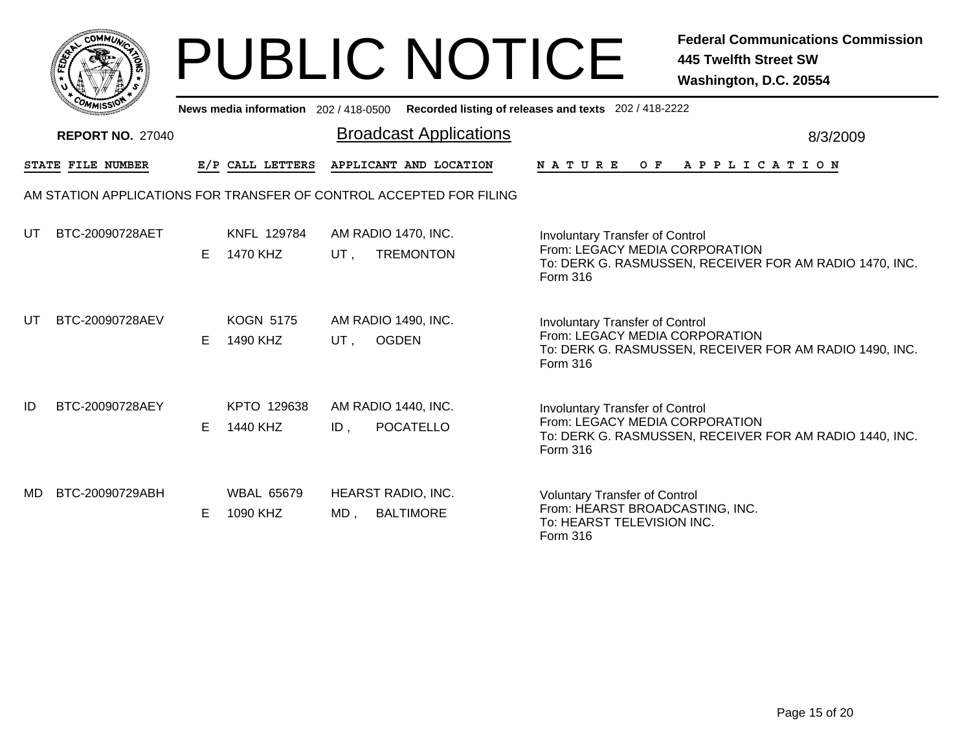|     | MMUNICT<br><b>CO</b> |  |
|-----|----------------------|--|
| ప్త |                      |  |
|     |                      |  |
|     | COMI<br>MISS<br>m    |  |

## PUBLIC NOTICE **Federal Communications Commission 445 Twelfth Street SW Washington, D.C. 20554**

|     | יככוומוזי               |    |                               | News media information 202/418-0500 Recorded listing of releases and texts 202/418-2222 |                                                                                                                                                 |  |
|-----|-------------------------|----|-------------------------------|-----------------------------------------------------------------------------------------|-------------------------------------------------------------------------------------------------------------------------------------------------|--|
|     | <b>REPORT NO. 27040</b> |    |                               | <b>Broadcast Applications</b>                                                           | 8/3/2009                                                                                                                                        |  |
|     | STATE FILE NUMBER       |    | E/P CALL LETTERS              | APPLICANT AND LOCATION                                                                  | APPLICATION<br>N A T U R E<br>O F                                                                                                               |  |
|     |                         |    |                               | AM STATION APPLICATIONS FOR TRANSFER OF CONTROL ACCEPTED FOR FILING                     |                                                                                                                                                 |  |
| UT  | BTC-20090728AET         | E. | KNFL 129784<br>1470 KHZ       | AM RADIO 1470, INC.<br><b>TREMONTON</b><br>UT ,                                         | <b>Involuntary Transfer of Control</b><br>From: LEGACY MEDIA CORPORATION<br>To: DERK G. RASMUSSEN, RECEIVER FOR AM RADIO 1470, INC.<br>Form 316 |  |
| UT  | BTC-20090728AEV         | E  | <b>KOGN 5175</b><br>1490 KHZ  | AM RADIO 1490, INC.<br><b>OGDEN</b><br>UT,                                              | <b>Involuntary Transfer of Control</b><br>From: LEGACY MEDIA CORPORATION<br>To: DERK G. RASMUSSEN, RECEIVER FOR AM RADIO 1490, INC.<br>Form 316 |  |
| ID  | BTC-20090728AEY         | E. | KPTO 129638<br>1440 KHZ       | AM RADIO 1440, INC.<br>POCATELLO<br>ID,                                                 | <b>Involuntary Transfer of Control</b><br>From: LEGACY MEDIA CORPORATION<br>To: DERK G. RASMUSSEN, RECEIVER FOR AM RADIO 1440, INC.<br>Form 316 |  |
| MD. | BTC-20090729ABH         | E. | <b>WBAL 65679</b><br>1090 KHZ | HEARST RADIO, INC.<br><b>BALTIMORE</b><br>MD,                                           | <b>Voluntary Transfer of Control</b><br>From: HEARST BROADCASTING, INC.<br>To: HEARST TELEVISION INC.<br>Form 316                               |  |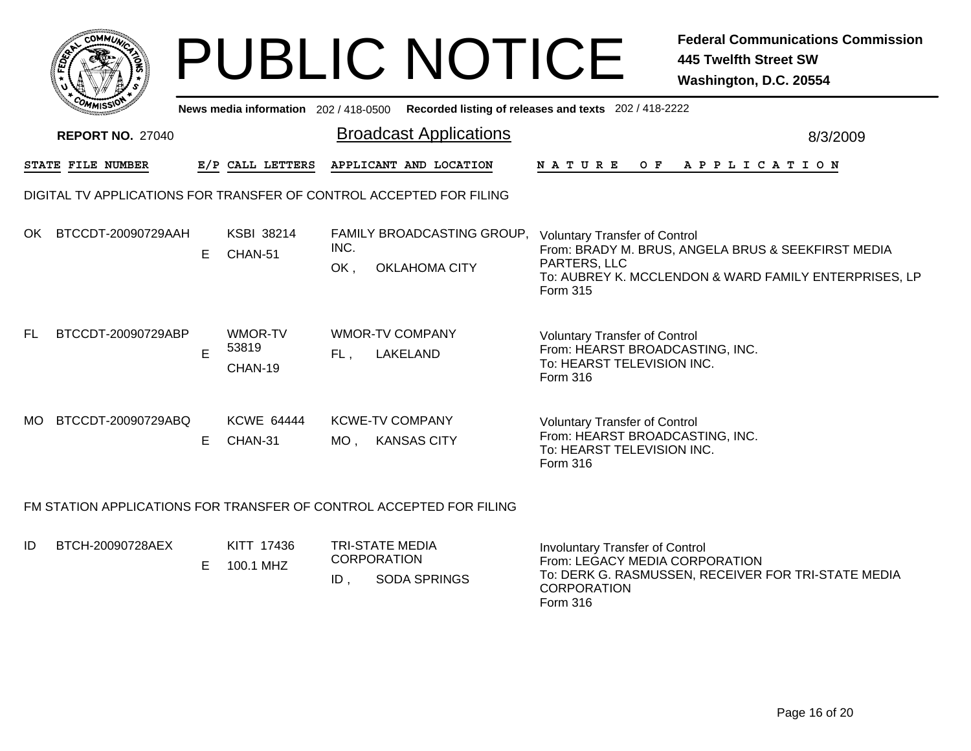|           |                                                                     |   |                                     |             | <b>PUBLIC NOTICE</b>                               |                                                                                                                          | <b>Federal Communications Commission</b><br><b>445 Twelfth Street SW</b><br>Washington, D.C. 20554          |
|-----------|---------------------------------------------------------------------|---|-------------------------------------|-------------|----------------------------------------------------|--------------------------------------------------------------------------------------------------------------------------|-------------------------------------------------------------------------------------------------------------|
|           |                                                                     |   | News media information 202/418-0500 |             |                                                    | Recorded listing of releases and texts 202 / 418-2222                                                                    |                                                                                                             |
|           | <b>REPORT NO. 27040</b>                                             |   |                                     |             | <b>Broadcast Applications</b>                      |                                                                                                                          | 8/3/2009                                                                                                    |
|           | STATE FILE NUMBER                                                   |   | E/P CALL LETTERS                    |             | APPLICANT AND LOCATION                             | N A T U R E<br>O F                                                                                                       | A P P L I C A T I O N                                                                                       |
|           | DIGITAL TV APPLICATIONS FOR TRANSFER OF CONTROL ACCEPTED FOR FILING |   |                                     |             |                                                    |                                                                                                                          |                                                                                                             |
| OK.       | BTCCDT-20090729AAH                                                  | E | <b>KSBI 38214</b><br>CHAN-51        | INC.<br>OK, | FAMILY BROADCASTING GROUP.<br><b>OKLAHOMA CITY</b> | <b>Voluntary Transfer of Control</b><br>PARTERS, LLC<br>Form 315                                                         | From: BRADY M. BRUS, ANGELA BRUS & SEEKFIRST MEDIA<br>To: AUBREY K. MCCLENDON & WARD FAMILY ENTERPRISES, LP |
| <b>FL</b> | BTCCDT-20090729ABP                                                  | E | WMOR-TV<br>53819<br>CHAN-19         | $FL$ .      | <b>WMOR-TV COMPANY</b><br>LAKELAND                 | <b>Voluntary Transfer of Control</b><br>From: HEARST BROADCASTING, INC.<br>To: HEARST TELEVISION INC.<br><b>Form 316</b> |                                                                                                             |
| MO.       | BTCCDT-20090729ABQ                                                  | Е | <b>KCWE 64444</b><br>CHAN-31        | MO.         | <b>KCWE-TV COMPANY</b><br><b>KANSAS CITY</b>       | <b>Voluntary Transfer of Control</b><br>From: HEARST BROADCASTING, INC.<br>To: HEARST TELEVISION INC.<br>Form 316        |                                                                                                             |

## FM STATION APPLICATIONS FOR TRANSFER OF CONTROL ACCEPTED FOR FILING

| ID<br>BTCH-20090728AEX |  | KITT 17436<br>100.1 MHZ | ID | TRI-STATE MEDIA<br><b>CORPORATION</b><br><b>SODA SPRINGS</b> | Involuntary Transfer of Control<br>From: LEGACY MEDIA CORPORATION<br>To: DERK G. RASMUSSEN, RECEIVER FOR TRI-STATE MEDIA<br><b>CORPORATION</b><br>Form 316 |
|------------------------|--|-------------------------|----|--------------------------------------------------------------|------------------------------------------------------------------------------------------------------------------------------------------------------------|
|------------------------|--|-------------------------|----|--------------------------------------------------------------|------------------------------------------------------------------------------------------------------------------------------------------------------------|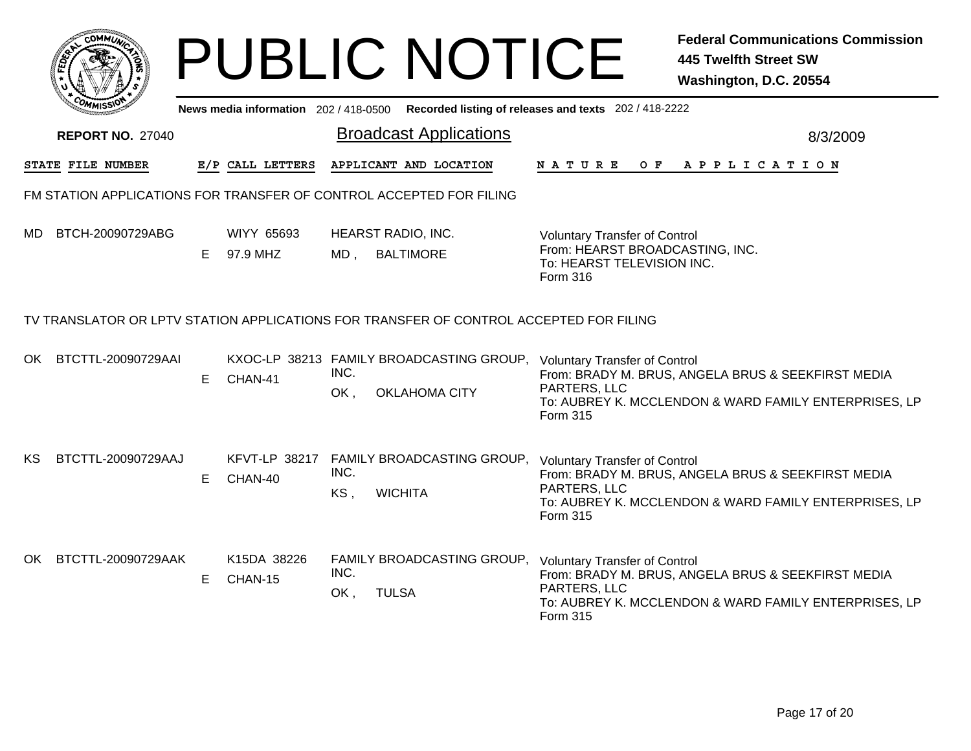|     |                                                                     |    |                                     |             | <b>PUBLIC NOTICE</b>                                                                   |                                                                                                                   | <b>Federal Communications Commission</b><br><b>445 Twelfth Street SW</b><br>Washington, D.C. 20554          |  |  |
|-----|---------------------------------------------------------------------|----|-------------------------------------|-------------|----------------------------------------------------------------------------------------|-------------------------------------------------------------------------------------------------------------------|-------------------------------------------------------------------------------------------------------------|--|--|
|     |                                                                     |    | News media information 202/418-0500 |             |                                                                                        | Recorded listing of releases and texts 202 / 418-2222                                                             |                                                                                                             |  |  |
|     | <b>REPORT NO. 27040</b>                                             |    |                                     |             | <b>Broadcast Applications</b>                                                          |                                                                                                                   | 8/3/2009                                                                                                    |  |  |
|     | STATE FILE NUMBER                                                   |    | E/P CALL LETTERS                    |             | APPLICANT AND LOCATION                                                                 | N A T U R E<br>O F                                                                                                | A P P L I C A T I O N                                                                                       |  |  |
|     | FM STATION APPLICATIONS FOR TRANSFER OF CONTROL ACCEPTED FOR FILING |    |                                     |             |                                                                                        |                                                                                                                   |                                                                                                             |  |  |
| MD. | BTCH-20090729ABG                                                    | E. | WIYY 65693<br>97.9 MHZ              |             | HEARST RADIO, INC.<br>MD, BALTIMORE                                                    | <b>Voluntary Transfer of Control</b><br>From: HEARST BROADCASTING, INC.<br>To: HEARST TELEVISION INC.<br>Form 316 |                                                                                                             |  |  |
|     |                                                                     |    |                                     |             | TV TRANSLATOR OR LPTV STATION APPLICATIONS FOR TRANSFER OF CONTROL ACCEPTED FOR FILING |                                                                                                                   |                                                                                                             |  |  |
| OK  | BTCTTL-20090729AAI                                                  | E. | CHAN-41                             | INC.<br>OK, | KXOC-LP 38213 FAMILY BROADCASTING GROUP,<br><b>OKLAHOMA CITY</b>                       | <b>Voluntary Transfer of Control</b><br>PARTERS, LLC<br>Form 315                                                  | From: BRADY M. BRUS, ANGELA BRUS & SEEKFIRST MEDIA<br>To: AUBREY K. MCCLENDON & WARD FAMILY ENTERPRISES, LP |  |  |
| KS. | BTCTTL-20090729AAJ                                                  | E. | CHAN-40                             | INC.<br>KS, | KFVT-LP 38217 FAMILY BROADCASTING GROUP,<br><b>WICHITA</b>                             | <b>Voluntary Transfer of Control</b><br>PARTERS, LLC<br>Form 315                                                  | From: BRADY M. BRUS, ANGELA BRUS & SEEKFIRST MEDIA<br>To: AUBREY K. MCCLENDON & WARD FAMILY ENTERPRISES, LP |  |  |
| OK. | BTCTTL-20090729AAK                                                  | E. | K15DA 38226<br>CHAN-15              | INC.<br>OK, | FAMILY BROADCASTING GROUP,<br><b>TULSA</b>                                             | <b>Voluntary Transfer of Control</b><br>PARTERS, LLC<br><b>Form 315</b>                                           | From: BRADY M. BRUS, ANGELA BRUS & SEEKFIRST MEDIA<br>To: AUBREY K. MCCLENDON & WARD FAMILY ENTERPRISES, LP |  |  |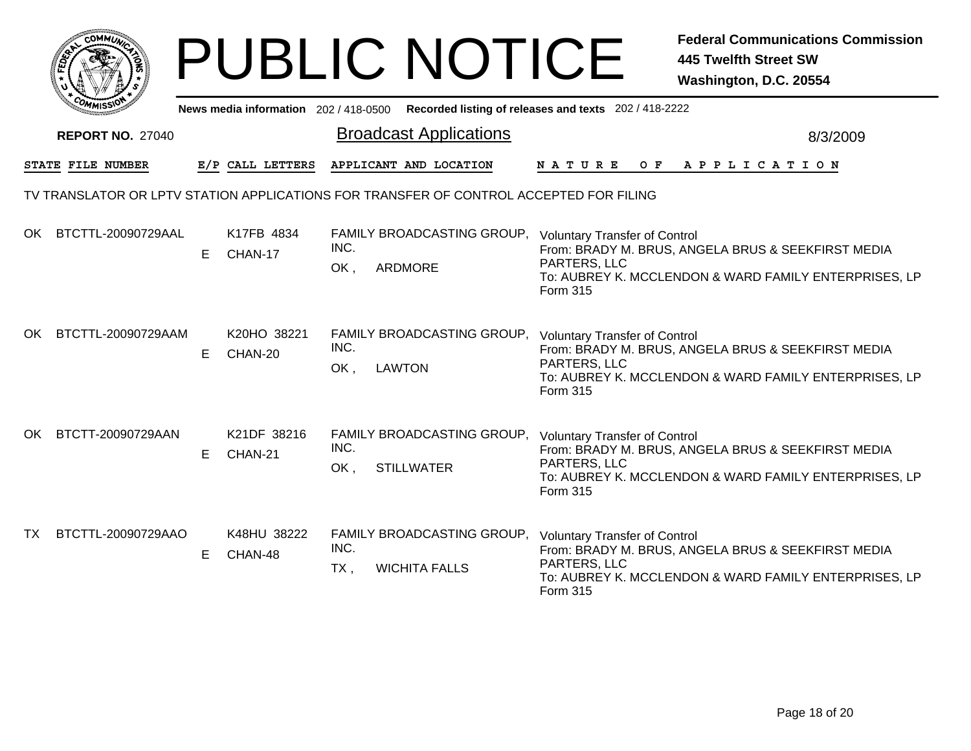|     |                          |    |                        |                | <b>PUBLIC NOTICE</b>                                                                    |                                                                         | <b>Federal Communications Commission</b><br><b>445 Twelfth Street SW</b><br>Washington, D.C. 20554          |
|-----|--------------------------|----|------------------------|----------------|-----------------------------------------------------------------------------------------|-------------------------------------------------------------------------|-------------------------------------------------------------------------------------------------------------|
|     |                          |    |                        |                | News media information 202/418-0500 Recorded listing of releases and texts 202/418-2222 |                                                                         |                                                                                                             |
|     | <b>REPORT NO. 27040</b>  |    |                        |                | <b>Broadcast Applications</b>                                                           |                                                                         | 8/3/2009                                                                                                    |
|     | <b>STATE FILE NUMBER</b> |    | E/P CALL LETTERS       |                | APPLICANT AND LOCATION                                                                  | N A T U R E<br>O F                                                      | A P P L I C A T I O N                                                                                       |
|     |                          |    |                        |                | TV TRANSLATOR OR LPTV STATION APPLICATIONS FOR TRANSFER OF CONTROL ACCEPTED FOR FILING  |                                                                         |                                                                                                             |
| OK  | BTCTTL-20090729AAL       | E  | K17FB 4834<br>CHAN-17  | INC.<br>OK,    | FAMILY BROADCASTING GROUP, Voluntary Transfer of Control<br>ARDMORE                     | PARTERS, LLC<br><b>Form 315</b>                                         | From: BRADY M. BRUS, ANGELA BRUS & SEEKFIRST MEDIA<br>To: AUBREY K. MCCLENDON & WARD FAMILY ENTERPRISES, LP |
| OK. | BTCTTL-20090729AAM       | E  | K20HO 38221<br>CHAN-20 | INC.<br>OK,    | FAMILY BROADCASTING GROUP, Voluntary Transfer of Control<br><b>LAWTON</b>               | PARTERS, LLC<br><b>Form 315</b>                                         | From: BRADY M. BRUS, ANGELA BRUS & SEEKFIRST MEDIA<br>To: AUBREY K. MCCLENDON & WARD FAMILY ENTERPRISES, LP |
| OK  | BTCTT-20090729AAN        | E. | K21DF 38216<br>CHAN-21 | INC.<br>OK,    | FAMILY BROADCASTING GROUP, Voluntary Transfer of Control<br><b>STILLWATER</b>           | PARTERS, LLC<br><b>Form 315</b>                                         | From: BRADY M. BRUS, ANGELA BRUS & SEEKFIRST MEDIA<br>To: AUBREY K. MCCLENDON & WARD FAMILY ENTERPRISES, LP |
| TX  | BTCTTL-20090729AAO       | E  | K48HU 38222<br>CHAN-48 | INC.<br>$TX$ , | FAMILY BROADCASTING GROUP,<br><b>WICHITA FALLS</b>                                      | <b>Voluntary Transfer of Control</b><br>PARTERS, LLC<br><b>Form 315</b> | From: BRADY M. BRUS, ANGELA BRUS & SEEKFIRST MEDIA<br>To: AUBREY K. MCCLENDON & WARD FAMILY ENTERPRISES, LP |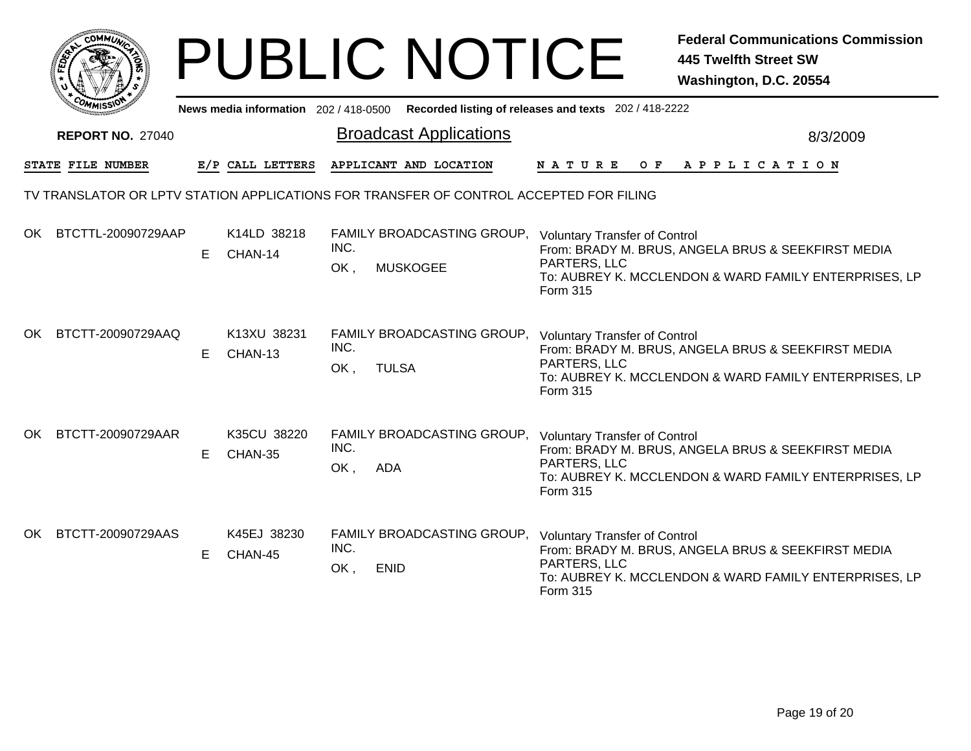|    |                          |   |                        | <b>PUBLIC NOTICE</b>                                                                       | <b>Federal Communications Commission</b><br><b>445 Twelfth Street SW</b><br>Washington, D.C. 20554                                                                              |  |
|----|--------------------------|---|------------------------|--------------------------------------------------------------------------------------------|---------------------------------------------------------------------------------------------------------------------------------------------------------------------------------|--|
|    |                          |   |                        | News media information 202/418-0500 Recorded listing of releases and texts 202/418-2222    |                                                                                                                                                                                 |  |
|    | <b>REPORT NO. 27040</b>  |   |                        | <b>Broadcast Applications</b>                                                              | 8/3/2009                                                                                                                                                                        |  |
|    | <b>STATE FILE NUMBER</b> |   | E/P CALL LETTERS       | APPLICANT AND LOCATION                                                                     | N A T U R E<br>O F<br>A P P L I C A T I O N                                                                                                                                     |  |
|    |                          |   |                        | TV TRANSLATOR OR LPTV STATION APPLICATIONS FOR TRANSFER OF CONTROL ACCEPTED FOR FILING     |                                                                                                                                                                                 |  |
|    | OK BTCTTL-20090729AAP    | E | K14LD 38218<br>CHAN-14 | FAMILY BROADCASTING GROUP, Voluntary Transfer of Control<br>INC.<br>OK,<br><b>MUSKOGEE</b> | From: BRADY M. BRUS, ANGELA BRUS & SEEKFIRST MEDIA<br>PARTERS, LLC<br>To: AUBREY K. MCCLENDON & WARD FAMILY ENTERPRISES, LP<br>Form 315                                         |  |
| OK | BTCTT-20090729AAQ        | Е | K13XU 38231<br>CHAN-13 | FAMILY BROADCASTING GROUP, Voluntary Transfer of Control<br>INC.<br>OK,<br><b>TULSA</b>    | From: BRADY M. BRUS, ANGELA BRUS & SEEKFIRST MEDIA<br>PARTERS, LLC<br>To: AUBREY K. MCCLENDON & WARD FAMILY ENTERPRISES, LP<br>Form 315                                         |  |
| OK | BTCTT-20090729AAR        | Е | K35CU 38220<br>CHAN-35 | FAMILY BROADCASTING GROUP, Voluntary Transfer of Control<br>INC.<br>OK,<br><b>ADA</b>      | From: BRADY M. BRUS, ANGELA BRUS & SEEKFIRST MEDIA<br>PARTERS, LLC<br>To: AUBREY K. MCCLENDON & WARD FAMILY ENTERPRISES, LP<br>Form 315                                         |  |
| OK | BTCTT-20090729AAS        | E | K45EJ 38230<br>CHAN-45 | FAMILY BROADCASTING GROUP,<br>INC.<br>OK,<br><b>ENID</b>                                   | <b>Voluntary Transfer of Control</b><br>From: BRADY M. BRUS, ANGELA BRUS & SEEKFIRST MEDIA<br>PARTERS, LLC<br>To: AUBREY K. MCCLENDON & WARD FAMILY ENTERPRISES, LP<br>Form 315 |  |